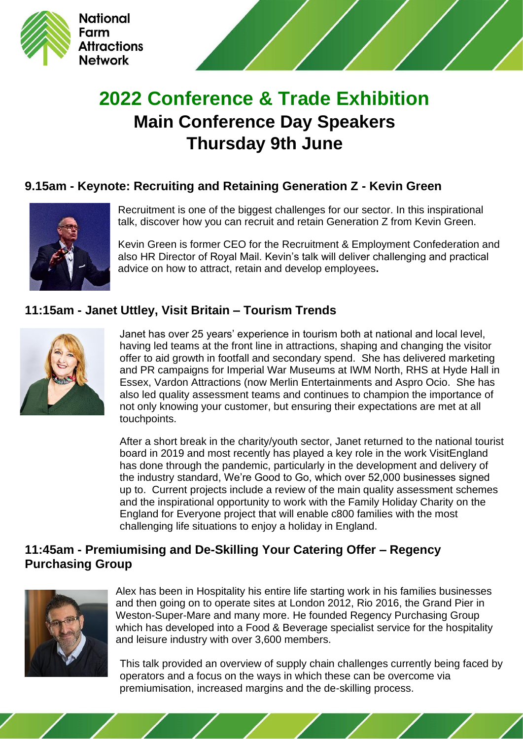



# **2022 Conference & Trade Exhibition Main Conference Day Speakers Thursday 9th June**

### **9.15am - Keynote: Recruiting and Retaining Generation Z - Kevin Green**



Recruitment is one of the biggest challenges for our sector. In this inspirational talk, discover how you can recruit and retain Generation Z from Kevin Green.

Kevin Green is former CEO for the Recruitment & Employment Confederation and also HR Director of Royal Mail. Kevin's talk will deliver challenging and practical advice on how to attract, retain and develop employees**.**

### **11:15am - Janet Uttley, Visit Britain – Tourism Trends**



Janet has over 25 years' experience in tourism both at national and local level, having led teams at the front line in attractions, shaping and changing the visitor offer to aid growth in footfall and secondary spend. She has delivered marketing and PR campaigns for Imperial War Museums at IWM North, RHS at Hyde Hall in Essex, Vardon Attractions (now Merlin Entertainments and Aspro Ocio. She has also led quality assessment teams and continues to champion the importance of not only knowing your customer, but ensuring their expectations are met at all touchpoints.

After a short break in the charity/youth sector, Janet returned to the national tourist board in 2019 and most recently has played a key role in the work VisitEngland has done through the pandemic, particularly in the development and delivery of the industry standard, We're Good to Go, which over 52,000 businesses signed up to. Current projects include a review of the main quality assessment schemes and the inspirational opportunity to work with the Family Holiday Charity on the England for Everyone project that will enable c800 families with the most challenging life situations to enjoy a holiday in England.

### **11:45am - Premiumising and De-Skilling Your Catering Offer – Regency Purchasing Group**



Alex has been in Hospitality his entire life starting work in his families businesses and then going on to operate sites at London 2012, Rio 2016, the Grand Pier in Weston-Super-Mare and many more. He founded Regency Purchasing Group which has developed into a Food & Beverage specialist service for the hospitality and leisure industry with over 3,600 members.

This talk provided an overview of supply chain challenges currently being faced by operators and a focus on the ways in which these can be overcome via premiumisation, increased margins and the de-skilling process.